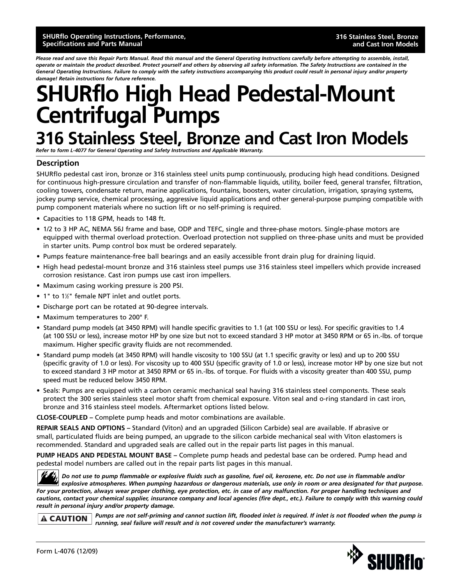*Please read and save this Repair Parts Manual. Read this manual and the General Operating Instructions carefully before attempting to assemble, install, operate or maintain the product described. Protect yourself and others by observing all safety information. The Safety Instructions are contained in the General Operating Instructions. Failure to comply with the safety instructions accompanying this product could result in personal injury and/or property damage! Retain instructions for future reference.*

# **SHURflo High Head Pedestal-Mount Centrifugal Pumps**

## **316 Stainless Steel, Bronze and Cast Iron Models**

*Refer to form L-4077 for General Operating and Safety Instructions and Applicable Warranty.*

### **Description**

SHURflo pedestal cast iron, bronze or 316 stainless steel units pump continuously, producing high head conditions. Designed for continuous high-pressure circulation and transfer of non-flammable liquids, utility, boiler feed, general transfer, filtration, cooling towers, condensate return, marine applications, fountains, boosters, water circulation, irrigation, spraying systems, jockey pump service, chemical processing, aggressive liquid applications and other general-purpose pumping compatible with pump component materials where no suction lift or no self-priming is required.

- Capacities to 118 GPM, heads to 148 ft.
- 1/2 to 3 HP AC, NEMA 56J frame and base, ODP and TEFC, single and three-phase motors. Single-phase motors are equipped with thermal overload protection. Overload protection not supplied on three-phase units and must be provided in starter units. Pump control box must be ordered separately.
- Pumps feature maintenance-free ball bearings and an easily accessible front drain plug for draining liquid.
- High head pedestal-mount bronze and 316 stainless steel pumps use 316 stainless steel impellers which provide increased corrosion resistance. Cast iron pumps use cast iron impellers.
- Maximum casing working pressure is 200 PSI.
- 1" to 1<sup>''</sup> female NPT inlet and outlet ports.
- Discharge port can be rotated at 90-degree intervals.
- Maximum temperatures to 200° F.
- Standard pump models (at 3450 RPM) will handle specific gravities to 1.1 (at 100 SSU or less). For specific gravities to 1.4 (at 100 SSU or less), increase motor HP by one size but not to exceed standard 3 HP motor at 3450 RPM or 65 in.-lbs. of torque maximum. Higher specific gravity fluids are not recommended.
- Standard pump models (at 3450 RPM) will handle viscosity to 100 SSU (at 1.1 specific gravity or less) and up to 200 SSU (specific gravity of 1.0 or less). For viscosity up to 400 SSU (specific gravity of 1.0 or less), increase motor HP by one size but not to exceed standard 3 HP motor at 3450 RPM or 65 in.-lbs. of torque. For fluids with a viscosity greater than 400 SSU, pump speed must be reduced below 3450 RPM.
- Seals: Pumps are equipped with a carbon ceramic mechanical seal having 316 stainless steel components. These seals protect the 300 series stainless steel motor shaft from chemical exposure. Viton seal and o-ring standard in cast iron, bronze and 316 stainless steel models. Aftermarket options listed below.

**CLOSE-COUPLED –** Complete pump heads and motor combinations are available.

**REPAIR SEALS AND OPTIONS –** Standard (Viton) and an upgraded (Silicon Carbide) seal are available. If abrasive or small, particulated fluids are being pumped, an upgrade to the silicon carbide mechanical seal with Viton elastomers is recommended. Standard and upgraded seals are called out in the repair parts list pages in this manual.

**PUMP HEADS AND PEDESTAL MOUNT BASE –** Complete pump heads and pedestal base can be ordered. Pump head and pedestal model numbers are called out in the repair parts list pages in this manual.

*Do not use to pump flammable or explosive fluids such as gasoline, fuel oil, kerosene, etc. Do not use in flammable and/or explosive atmospheres. When pumping hazardous or dangerous materials, use only in room or area designated for that purpose. For your protection, always wear proper clothing, eye protection, etc. in case of any malfunction. For proper handling techniques and cautions, contact your chemical supplier, insurance company and local agencies (fire dept., etc.). Failure to comply with this warning could result in personal injury and/or property damage.*

**A CAUTION** 

*Pumps are not self-priming and cannot suction lift, flooded inlet is required. If inlet is not flooded when the pump is running, seal failure will result and is not covered under the manufacturer's warranty.*

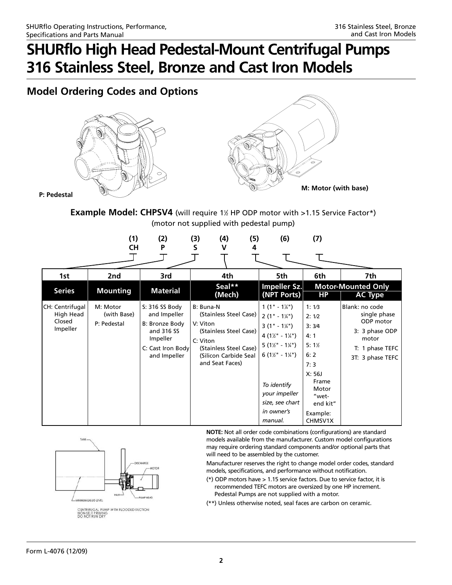### **Model Ordering Codes and Options**





**P: Pedestal**

**Example Model: CHPSV4** (will require 1<sup>1</sup>% HP ODP motor with >1.15 Service Factor\*) (motor not supplied with pedestal pump)

|                                                    | (1)<br><b>CH</b>                       | (2)<br>P                                                                                                        | (3)<br>(4)<br>S<br>V                                                                                                                                        | (5)<br>4 | (6)                                                                                                                                                                                                                                                                | (7)                                                                                                                             |                                                                                                               |
|----------------------------------------------------|----------------------------------------|-----------------------------------------------------------------------------------------------------------------|-------------------------------------------------------------------------------------------------------------------------------------------------------------|----------|--------------------------------------------------------------------------------------------------------------------------------------------------------------------------------------------------------------------------------------------------------------------|---------------------------------------------------------------------------------------------------------------------------------|---------------------------------------------------------------------------------------------------------------|
| 1st<br><b>Series</b>                               | 2nd<br><b>Mounting</b>                 | 3rd<br><b>Material</b>                                                                                          | 4th<br>Seal**<br>(Mech)                                                                                                                                     |          | 5th<br>Impeller Sz.<br>(NPT Ports)                                                                                                                                                                                                                                 | 6th<br><b>HP</b>                                                                                                                | 7th<br><b>Motor-Mounted Only</b><br><b>AC Type</b>                                                            |
| CH: Centrifugal<br>High Head<br>Closed<br>Impeller | M: Motor<br>(with Base)<br>P: Pedestal | S: 316 SS Body<br>and Impeller<br>B: Bronze Body<br>and 316 SS<br>Impeller<br>C: Cast Iron Body<br>and Impeller | B: Buna-N<br>(Stainless Steel Case)<br>V: Viton<br>(Stainless Steel Case)<br>C: Viton<br>(Stainless Steel Case)<br>(Silicon Carbide Seal<br>and Seat Faces) |          | $1(1" - 1\frac{1}{4})$<br>$2(1" - 1\frac{1}{4})$<br>$3(1" - 1\frac{1}{4})$<br>$4(1\frac{1}{2} - 1\frac{1}{4})$<br>$5(1\frac{1}{2} - 1\frac{1}{4})$<br>$6(1\frac{1}{2} - 1\frac{1}{4})$<br>To identify<br>your impeller<br>size, see chart<br>in owner's<br>manual. | 1:1/3<br>2:1/2<br>3:3/4<br>4:1<br>$5:1\%$<br>6:2<br>7:3<br>X: 56J<br>Frame<br>Motor<br>"wet-<br>end kit"<br>Example:<br>CHMSV1X | Blank: no code<br>single phase<br>ODP motor<br>3: 3 phase ODP<br>motor<br>T: 1 phase TEFC<br>3T: 3 phase TEFC |



**NOTE:** Not all order code combinations (configurations) are standard models available from the manufacturer. Custom model configurations may require ordering standard components and/or optional parts that will need to be assembled by the customer.

Manufacturer reserves the right to change model order codes, standard models, specifications, and performance without notification.

- (\*) ODP motors have > 1.15 service factors. Due to service factor, it is recommended TEFC motors are oversized by one HP increment. Pedestal Pumps are not supplied with a motor.
- (\*\*) Unless otherwise noted, seal faces are carbon on ceramic.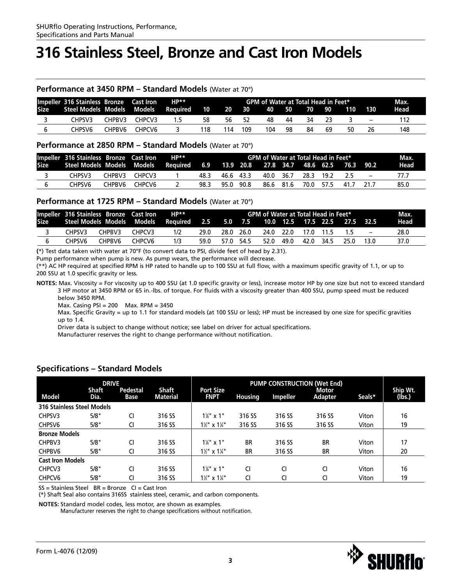## **316 Stainless Steel, Bronze and Cast Iron Models**

#### **Performance at 3450 RPM – Standard Models** (Water at 70°)

|             | Impeller 316 Stainless Bronze Cast Iron |        |        | $HP**$   | GPM of Water at Total Head in Feet* |                   |     |       |     |       |    |     | Max.              |      |
|-------------|-----------------------------------------|--------|--------|----------|-------------------------------------|-------------------|-----|-------|-----|-------|----|-----|-------------------|------|
| <b>Size</b> | Steel Models Models Models              |        |        | Reauired | $\sqrt{10}$                         | $\blacksquare$ 20 | 30  | 40 50 |     | 70 90 |    | 110 | 130               | Head |
|             | CHPSV3                                  | CHPBV3 | CHPCV3 | 1.5      | 58                                  | -56               | -52 | 48    | 44  | -34   | 23 |     | $\qquad \qquad -$ |      |
|             | CHPSV6.                                 | CHPRV6 | CHPCV6 |          | 118                                 | ' 14              | 109 | 104   | -98 | 84    | 69 | 50  | 26                | 148  |

#### **Performance at 2850 RPM – Standard Models** (Water at 70°)

| Impeller 316 Stainless Bronze Cast Iron                                              |        |        | HP** | <b>GPM of Water at Total Head in Feet*</b> |  |           |  |  |                          |  |      | Max.              |      |
|--------------------------------------------------------------------------------------|--------|--------|------|--------------------------------------------|--|-----------|--|--|--------------------------|--|------|-------------------|------|
| Size Steel Models Models Models Required 6.9 13.9 20.8 27.8 34.7 48.6 62.5 76.3 90.2 |        |        |      |                                            |  |           |  |  |                          |  |      |                   | Head |
| CHPSV3.                                                                              | CHPBV3 | CHPCV3 |      | 48.3                                       |  | 46.6 43.3 |  |  | 40.0 36.7 28.3 19.2      |  | - 25 | $\qquad \qquad -$ |      |
| CHPSV6.                                                                              | CHPBV6 | CHPCV6 |      | 98.3                                       |  | 95.0 90.8 |  |  | 86.6 81.6 70.0 57.5 41.7 |  |      | 21.7              | 85.0 |

### **Performance at 1725 RPM – Standard Models** (Water at 70°)

|         | Impeller 316 Stainless Bronze Cast Iron |                    | <b>HP**</b>                                                                        |      |           | GPM of Water at Total Head in Feet* |      |           |        |                          | -Max. |
|---------|-----------------------------------------|--------------------|------------------------------------------------------------------------------------|------|-----------|-------------------------------------|------|-----------|--------|--------------------------|-------|
|         |                                         |                    | Size Steel Models Models Models Required 2.5 5.0 7.5 10.0 12.5 17.5 22.5 27.5 32.5 |      |           |                                     |      |           |        |                          | Head  |
| CHPSV3. | CHPBV3                                  | CHPCV3             | 1/2                                                                                | 29.0 | 28.0 26.0 | 24.0 22.0                           |      | 17.0 11.5 | 15     | $\overline{\phantom{0}}$ | 28.0  |
| CHPSV6. | CHPBV6                                  | CHPCV <sub>6</sub> | 1/3                                                                                | 59.0 | 57.0 54.5 | 52.0                                | 49.0 | 42.0 34.5 | - 25.0 |                          | 37.0  |

**(**\*) Test data taken with water at 70°F (to convert data to PSI, divide feet of head by 2.31).

Pump performance when pump is new. As pump wears, the performance will decrease.

(\*\*) AC HP required at specified RPM is HP rated to handle up to 100 SSU at full flow, with a maximum specific gravity of 1.1, or up to 200 SSU at 1.0 specific gravity or less.

**NOTES:** Max. Viscosity = For viscosity up to 400 SSU (at 1.0 specific gravity or less), increase motor HP by one size but not to exceed standard 3 HP motor at 3450 RPM or 65 in.-lbs. of torque. For fluids with a viscosity greater than 400 SSU, pump speed must be reduced below 3450 RPM.

Max. Casing PSI = 200 Max. RPM = 3450

Max. Specific Gravity = up to 1.1 for standard models (at 100 SSU or less); HP must be increased by one size for specific gravities up to 1.4.

Driver data is subject to change without notice; see label on driver for actual specifications.

Manufacturer reserves the right to change performance without notification.

|                                   | <b>DRIVE</b>         |                  |                          |                                     | <b>PUMP CONSTRUCTION (Wet End)</b> |                 |                         |        |                    |  |  |
|-----------------------------------|----------------------|------------------|--------------------------|-------------------------------------|------------------------------------|-----------------|-------------------------|--------|--------------------|--|--|
| <b>Model</b>                      | <b>Shaft</b><br>Dia. | Pedestal<br>Base | Shaft<br><b>Material</b> | <b>Port Size</b><br><b>FNPT</b>     | <b>Housing</b>                     | <b>Impeller</b> | <b>Motor</b><br>Adapter | Seals* | Ship Wt.<br>(lbs.) |  |  |
| <b>316 Stainless Steel Models</b> |                      |                  |                          |                                     |                                    |                 |                         |        |                    |  |  |
| CHPSV3                            | 5/8"                 | CI               | 316 SS                   | $1\frac{1}{4}$ " x 1"               | 316 SS                             | 316 SS          | 316 SS                  | Viton  | 16                 |  |  |
| CHPSV <sub>6</sub>                | 5/8"                 | CI               | 316 SS                   | $1\frac{1}{2}$ " x $1\frac{1}{4}$ " | 316 SS                             | 316 SS          | 316 SS                  | Viton  | 19                 |  |  |
| <b>Bronze Models</b>              |                      |                  |                          |                                     |                                    |                 |                         |        |                    |  |  |
| CHPBV3                            | 5/8"                 | CI               | 316 SS                   | $1\frac{1}{4}$ " x 1"               | <b>BR</b>                          | 316 SS          | <b>BR</b>               | Viton  | 17                 |  |  |
| CHPBV6                            | 5/8"                 | CI               | 316 SS                   | $1\frac{1}{2}$ " x $1\frac{1}{4}$ " | <b>BR</b>                          | 316 SS          | <b>BR</b>               | Viton  | 20                 |  |  |
| <b>Cast Iron Models</b>           |                      |                  |                          |                                     |                                    |                 |                         |        |                    |  |  |
| CHPCV3                            | 5/8"                 | CI               | 316 SS                   | $1\frac{1}{4}$ " x 1"               | CI                                 | CI              | CI                      | Viton  | 16                 |  |  |
| CHPCV6                            | 5/8"                 | CI               | 316 SS                   | $1\frac{1}{2}$ " x $1\frac{1}{4}$ " | CI                                 | CI              | CI                      | Viton  | 19                 |  |  |

### **Specifications – Standard Models**

 $SS = Stainless Steel$   $BR = Bronze$   $Cl = Cast$  Iron

(\*) Shaft Seal also contains 316SS stainless steel, ceramic, and carbon components.

**NOTES:** Standard model codes, less motor, are shown as examples.

Manufacturer reserves the right to change specifications without notification.

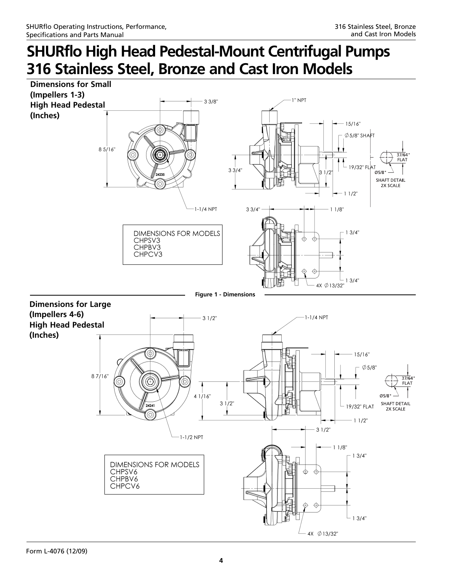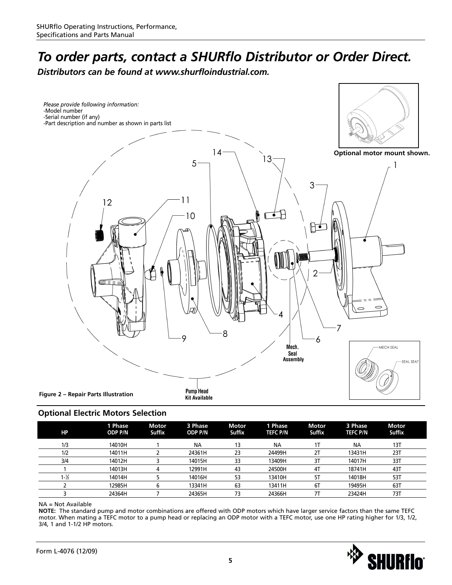## *To order parts, contact a SHURflo Distributor or Order Direct.*

*Distributors can be found at www.shurfloindustrial.com.*



### **Optional Electric Motors Selection**

| НP                | 1 Phase<br><b>ODP P/N</b> | <b>Motor</b><br><b>Suffix</b> | 3 Phase<br><b>ODP P/N</b> | <b>Motor</b><br><b>Suffix</b> | 1 Phase<br><b>TEFC P/N</b> | Motor<br><b>Suffix</b> | 3 Phase<br><b>TEFC P/N</b> | Motor<br><b>Suffix</b> |
|-------------------|---------------------------|-------------------------------|---------------------------|-------------------------------|----------------------------|------------------------|----------------------------|------------------------|
| 1/3               | 14010H                    |                               | <b>NA</b>                 | 13                            | <b>NA</b>                  |                        | <b>NA</b>                  | 13T                    |
| 1/2               | 14011H                    |                               | 24361H                    | 23                            | 24499H                     | 2T                     | 13431H                     | 23T                    |
| 3/4               | 14012H                    |                               | 14015H                    | 33                            | 13409H                     | 3T                     | 14017H                     | 33T                    |
|                   | 14013H                    |                               | 12991H                    | 43                            | 24500H                     | 4T                     | 18741H                     | 43T                    |
| $1 - \frac{1}{2}$ | 14014H                    |                               | 14016H                    | 53                            | 13410H                     | 5T                     | 14018H                     | 53T                    |
|                   | 12985H                    |                               | 13341H                    | 63                            | 13411H                     | 6T                     | 19495H                     | 63T                    |
|                   | 24364H                    |                               | 24365H                    | 73                            | 24366H                     |                        | 23424H                     | 73T                    |

#### NA = Not Available

**NOTE:** The standard pump and motor combinations are offered with ODP motors which have larger service factors than the same TEFC motor. When mating a TEFC motor to a pump head or replacing an ODP motor with a TEFC motor, use one HP rating higher for 1/3, 1/2, 3/4, 1 and 1-1/2 HP motors.

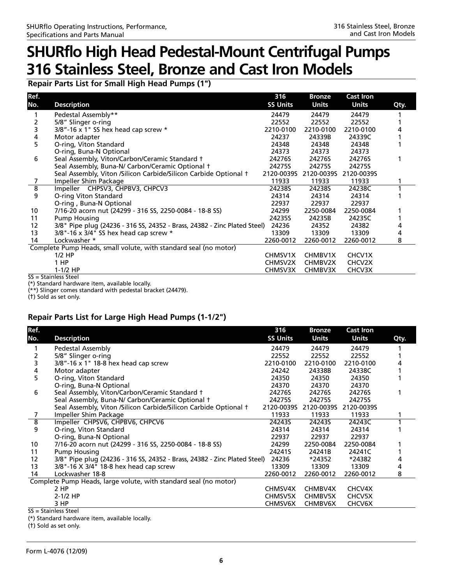**Repair Parts List for Small High Head Pumps (1")**

| Ref.           |                                                                           | 316             | <b>Bronze</b>  | <b>Cast Iron</b> |      |
|----------------|---------------------------------------------------------------------------|-----------------|----------------|------------------|------|
| No.            | <b>Description</b>                                                        | <b>SS Units</b> | <b>Units</b>   | <b>Units</b>     | Qty. |
|                | Pedestal Assembly**                                                       | 24479           | 24479          | 24479            |      |
| 2              | 5/8" Slinger o-ring                                                       | 22552           | 22552          | 22552            |      |
| 3              | $3/8"$ -16 x 1" SS hex head cap screw *                                   | 2210-0100       | 2210-0100      | 2210-0100        |      |
| 4              | Motor adapter                                                             | 24237           | 24339B         | 24339C           |      |
| 5              | O-ring, Viton Standard                                                    | 24348           | 24348          | 24348            |      |
|                | O-ring, Buna-N Optional                                                   | 24373           | 24373          | 24373            |      |
| 6              | Seal Assembly, Viton/Carbon/Ceramic Standard †                            | 24276S          | 24276S         | 24276S           |      |
|                | Seal Assembly, Buna-N/ Carbon/Ceramic Optional +                          | 24275S          | 24275S         | 24275S           |      |
|                | Seal Assembly, Viton /Silicon Carbide/Silicon Carbide Optional †          | 2120-00395      | 2120-0039S     | 2120-0039S       |      |
|                | Impeller Shim Package                                                     | 11933           | 11933          | 11933            |      |
| $\overline{8}$ | Impeller CHPSV3, CHPBV3, CHPCV3                                           | 24238S          | 24238S         | 24238C           |      |
| 9              | O-ring Viton Standard                                                     | 24314           | 24314          | 24314            |      |
|                | O-ring, Buna-N Optional                                                   | 22937           | 22937          | 22937            |      |
| 10             | 7/16-20 acorn nut (24299 - 316 SS, 2250-0084 - 18-8 SS)                   | 24299           | 2250-0084      | 2250-0084        |      |
| 11             | <b>Pump Housing</b>                                                       | 24235S          | 24235B         | 24235C           |      |
| 12             | 3/8" Pipe plug (24236 - 316 SS, 24352 - Brass, 24382 - Zinc Plated Steel) | 24236           | 24352          | 24382            |      |
| 13             | $3/8$ "-16 x $3/4$ " SS hex head cap screw *                              | 13309           | 13309          | 13309            | 4    |
| 14             | Lockwasher *                                                              | 2260-0012       | 2260-0012      | 2260-0012        | 8    |
|                | Complete Pump Heads, small volute, with standard seal (no motor)          |                 |                |                  |      |
|                | $1/2$ HP                                                                  | CHMSV1X         | CHMBV1X        | CHCV1X           |      |
|                | 1 HP                                                                      | CHMSV2X         | CHMBV2X        | CHCV2X           |      |
|                | $1-1/2$ HP                                                                | <b>CHMSV3X</b>  | <b>CHMBV3X</b> | CHCV3X           |      |

SS = Stainless Steel

(\*) Standard hardware item, available locally.

(\*\*) Slinger comes standard with pedestal bracket (24479).

(†) Sold as set only.

### **Repair Parts List for Large High Head Pumps (1-1/2")**

| <b>SS Units</b><br><b>Units</b><br><b>Description</b><br><b>Units</b><br>Qty.<br>Pedestal Assembly<br>24479<br>24479<br>24479<br>5/8" Slinger o-ring<br>22552<br>22552<br>22552<br>$3/8"$ -16 x 1" 18-8 hex head cap screw<br>3<br>2210-0100<br>2210-0100<br>2210-0100<br>4<br>24242<br>24338B<br>24338C<br>Motor adapter<br>O-ring, Viton Standard<br>5<br>24350<br>24350<br>24350<br>O-ring, Buna-N Optional<br>24370<br>24370<br>24370<br>6<br>Seal Assembly, Viton/Carbon/Ceramic Standard +<br>24276S<br>24276S<br>24276S<br>Seal Assembly, Buna-N/ Carbon/Ceramic Optional +<br>24275S<br>24275S<br>24275S<br>Seal Assembly, Viton /Silicon Carbide/Silicon Carbide Optional +<br>2120-0039S<br>2120-0039S<br>2120-0039S<br>Impeller Shim Package<br>11933<br>11933<br>11933<br>7<br>$\overline{8}$<br>Impeller CHPSV6, CHPBV6, CHPCV6<br>242435<br>24243S<br>24243C<br>9<br>O-ring, Viton Standard<br>24314<br>24314<br>24314<br>O-ring, Buna-N Optional<br>22937<br>22937<br>22937<br>7/16-20 acorn nut (24299 - 316 SS, 2250-0084 - 18-8 SS)<br>10<br>24299<br>2250-0084<br>2250-0084<br><b>Pump Housing</b><br>24241S<br>24241B<br>24241C<br>11<br>3/8" Pipe plug (24236 - 316 SS, 24352 - Brass, 24382 - Zinc Plated Steel)<br>24236<br>12<br>*24352<br>*24382<br>13<br>3/8"-16 X 3/4" 18-8 hex head cap screw<br>13309<br>13309<br>13309<br>4<br>14<br>Lockwasher 18-8<br>2260-0012<br>2260-0012<br>8<br>2260-0012<br>Complete Pump Heads, large volute, with standard seal (no motor)<br>2 HP<br>CHMBV4X<br>CHCV4X<br>CHMSV4X | Ref. |          | 316     | <b>Bronze</b> | <b>Cast Iron</b> |  |
|--------------------------------------------------------------------------------------------------------------------------------------------------------------------------------------------------------------------------------------------------------------------------------------------------------------------------------------------------------------------------------------------------------------------------------------------------------------------------------------------------------------------------------------------------------------------------------------------------------------------------------------------------------------------------------------------------------------------------------------------------------------------------------------------------------------------------------------------------------------------------------------------------------------------------------------------------------------------------------------------------------------------------------------------------------------------------------------------------------------------------------------------------------------------------------------------------------------------------------------------------------------------------------------------------------------------------------------------------------------------------------------------------------------------------------------------------------------------------------------------------------------------------------------------|------|----------|---------|---------------|------------------|--|
|                                                                                                                                                                                                                                                                                                                                                                                                                                                                                                                                                                                                                                                                                                                                                                                                                                                                                                                                                                                                                                                                                                                                                                                                                                                                                                                                                                                                                                                                                                                                            | No.  |          |         |               |                  |  |
|                                                                                                                                                                                                                                                                                                                                                                                                                                                                                                                                                                                                                                                                                                                                                                                                                                                                                                                                                                                                                                                                                                                                                                                                                                                                                                                                                                                                                                                                                                                                            |      |          |         |               |                  |  |
|                                                                                                                                                                                                                                                                                                                                                                                                                                                                                                                                                                                                                                                                                                                                                                                                                                                                                                                                                                                                                                                                                                                                                                                                                                                                                                                                                                                                                                                                                                                                            |      |          |         |               |                  |  |
|                                                                                                                                                                                                                                                                                                                                                                                                                                                                                                                                                                                                                                                                                                                                                                                                                                                                                                                                                                                                                                                                                                                                                                                                                                                                                                                                                                                                                                                                                                                                            |      |          |         |               |                  |  |
|                                                                                                                                                                                                                                                                                                                                                                                                                                                                                                                                                                                                                                                                                                                                                                                                                                                                                                                                                                                                                                                                                                                                                                                                                                                                                                                                                                                                                                                                                                                                            |      |          |         |               |                  |  |
|                                                                                                                                                                                                                                                                                                                                                                                                                                                                                                                                                                                                                                                                                                                                                                                                                                                                                                                                                                                                                                                                                                                                                                                                                                                                                                                                                                                                                                                                                                                                            |      |          |         |               |                  |  |
|                                                                                                                                                                                                                                                                                                                                                                                                                                                                                                                                                                                                                                                                                                                                                                                                                                                                                                                                                                                                                                                                                                                                                                                                                                                                                                                                                                                                                                                                                                                                            |      |          |         |               |                  |  |
|                                                                                                                                                                                                                                                                                                                                                                                                                                                                                                                                                                                                                                                                                                                                                                                                                                                                                                                                                                                                                                                                                                                                                                                                                                                                                                                                                                                                                                                                                                                                            |      |          |         |               |                  |  |
|                                                                                                                                                                                                                                                                                                                                                                                                                                                                                                                                                                                                                                                                                                                                                                                                                                                                                                                                                                                                                                                                                                                                                                                                                                                                                                                                                                                                                                                                                                                                            |      |          |         |               |                  |  |
|                                                                                                                                                                                                                                                                                                                                                                                                                                                                                                                                                                                                                                                                                                                                                                                                                                                                                                                                                                                                                                                                                                                                                                                                                                                                                                                                                                                                                                                                                                                                            |      |          |         |               |                  |  |
|                                                                                                                                                                                                                                                                                                                                                                                                                                                                                                                                                                                                                                                                                                                                                                                                                                                                                                                                                                                                                                                                                                                                                                                                                                                                                                                                                                                                                                                                                                                                            |      |          |         |               |                  |  |
|                                                                                                                                                                                                                                                                                                                                                                                                                                                                                                                                                                                                                                                                                                                                                                                                                                                                                                                                                                                                                                                                                                                                                                                                                                                                                                                                                                                                                                                                                                                                            |      |          |         |               |                  |  |
|                                                                                                                                                                                                                                                                                                                                                                                                                                                                                                                                                                                                                                                                                                                                                                                                                                                                                                                                                                                                                                                                                                                                                                                                                                                                                                                                                                                                                                                                                                                                            |      |          |         |               |                  |  |
|                                                                                                                                                                                                                                                                                                                                                                                                                                                                                                                                                                                                                                                                                                                                                                                                                                                                                                                                                                                                                                                                                                                                                                                                                                                                                                                                                                                                                                                                                                                                            |      |          |         |               |                  |  |
|                                                                                                                                                                                                                                                                                                                                                                                                                                                                                                                                                                                                                                                                                                                                                                                                                                                                                                                                                                                                                                                                                                                                                                                                                                                                                                                                                                                                                                                                                                                                            |      |          |         |               |                  |  |
|                                                                                                                                                                                                                                                                                                                                                                                                                                                                                                                                                                                                                                                                                                                                                                                                                                                                                                                                                                                                                                                                                                                                                                                                                                                                                                                                                                                                                                                                                                                                            |      |          |         |               |                  |  |
|                                                                                                                                                                                                                                                                                                                                                                                                                                                                                                                                                                                                                                                                                                                                                                                                                                                                                                                                                                                                                                                                                                                                                                                                                                                                                                                                                                                                                                                                                                                                            |      |          |         |               |                  |  |
|                                                                                                                                                                                                                                                                                                                                                                                                                                                                                                                                                                                                                                                                                                                                                                                                                                                                                                                                                                                                                                                                                                                                                                                                                                                                                                                                                                                                                                                                                                                                            |      |          |         |               |                  |  |
|                                                                                                                                                                                                                                                                                                                                                                                                                                                                                                                                                                                                                                                                                                                                                                                                                                                                                                                                                                                                                                                                                                                                                                                                                                                                                                                                                                                                                                                                                                                                            |      |          |         |               |                  |  |
|                                                                                                                                                                                                                                                                                                                                                                                                                                                                                                                                                                                                                                                                                                                                                                                                                                                                                                                                                                                                                                                                                                                                                                                                                                                                                                                                                                                                                                                                                                                                            |      |          |         |               |                  |  |
|                                                                                                                                                                                                                                                                                                                                                                                                                                                                                                                                                                                                                                                                                                                                                                                                                                                                                                                                                                                                                                                                                                                                                                                                                                                                                                                                                                                                                                                                                                                                            |      |          |         |               |                  |  |
|                                                                                                                                                                                                                                                                                                                                                                                                                                                                                                                                                                                                                                                                                                                                                                                                                                                                                                                                                                                                                                                                                                                                                                                                                                                                                                                                                                                                                                                                                                                                            |      | 2-1/2 HP | CHMSV5X | CHMBV5X       | CHCV5X           |  |
| 3 HP<br>CHMSV6X<br><b>CHMBV6X</b><br>CHCV6X                                                                                                                                                                                                                                                                                                                                                                                                                                                                                                                                                                                                                                                                                                                                                                                                                                                                                                                                                                                                                                                                                                                                                                                                                                                                                                                                                                                                                                                                                                |      |          |         |               |                  |  |

SS = Stainless Steel

(\*) Standard hardware item, available locally.

(†) Sold as set only.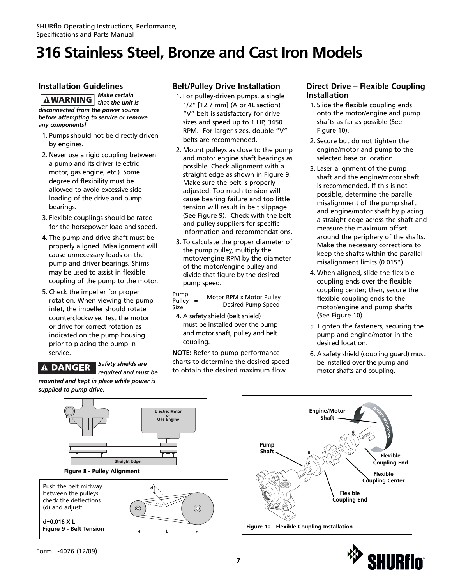## **316 Stainless Steel, Bronze and Cast Iron Models**

### **Installation Guidelines**

*Make certain*  **AWARNING** *that the unit is disconnected from the power source before attempting to service or remove any components!*

- 1. Pumps should not be directly driven by engines.
- 2. Never use a rigid coupling between a pump and its driver (electric motor, gas engine, etc.). Some degree of flexibility must be allowed to avoid excessive side loading of the drive and pump bearings.
- 3. Flexible couplings should be rated for the horsepower load and speed.
- 4. The pump and drive shaft must be properly aligned. Misalignment will cause unnecessary loads on the pump and driver bearings. Shims may be used to assist in flexible coupling of the pump to the motor.
- 5. Check the impeller for proper rotation. When viewing the pump inlet, the impeller should rotate counterclockwise. Test the motor or drive for correct rotation as indicated on the pump housing prior to placing the pump in service.

### **A DANGER**

#### *Safety shields are required and must be*

*mounted and kept in place while power is supplied to pump drive.*

### **Belt/Pulley Drive Installation**

- 1. For pulley-driven pumps, a single 1/2" [12.7 mm] (A or 4L section) "V" belt is satisfactory for drive sizes and speed up to 1 HP, 3450 RPM. For larger sizes, double "V" belts are recommended.
- 2. Mount pulleys as close to the pump and motor engine shaft bearings as possible. Check alignment with a straight edge as shown in Figure 9. Make sure the belt is properly adjusted. Too much tension will cause bearing failure and too little tension will result in belt slippage (See Figure 9). Check with the belt and pulley suppliers for specific information and recommendations.
- 3. To calculate the proper diameter of the pump pulley, multiply the motor/engine RPM by the diameter of the motor/engine pulley and divide that figure by the desired pump speed.

Pump Pulley = Motor RPM x Motor Pulley Size Desired Pump Speed

4. A safety shield (belt shield) must be installed over the pump and motor shaft, pulley and belt coupling.

**NOTE:** Refer to pump performance charts to determine the desired speed to obtain the desired maximum flow.

### **Direct Drive – Flexible Coupling Installation**

- 1. Slide the flexible coupling ends onto the motor/engine and pump shafts as far as possible (See Figure 10).
- 2. Secure but do not tighten the engine/motor and pump to the selected base or location.
- 3. Laser alignment of the pump shaft and the engine/motor shaft is recommended. If this is not possible, determine the parallel misalignment of the pump shaft and engine/motor shaft by placing a straight edge across the shaft and measure the maximum offset around the periphery of the shafts. Make the necessary corrections to keep the shafts within the parallel misalignment limits (0.015").
- 4. When aligned, slide the flexible coupling ends over the flexible coupling center; then, secure the flexible coupling ends to the motor/engine and pump shafts (See Figure 10).
- 5. Tighten the fasteners, securing the pump and engine/motor in the desired location.
- 6. A safety shield (coupling guard) must be installed over the pump and motor shafts and coupling.





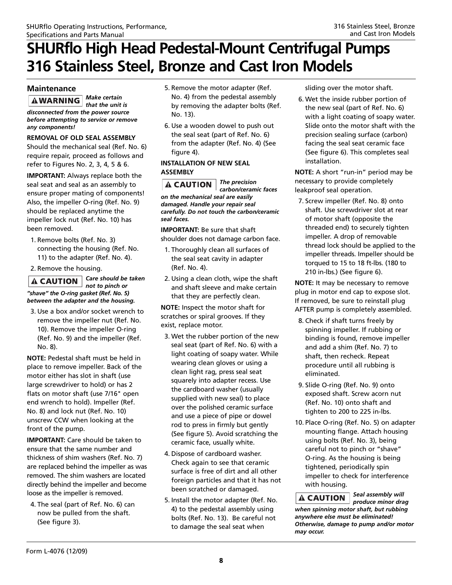### **Maintenance**

*Make certain*  **AWARNING** *that the unit is disconnected from the power source*

*before attempting to service or remove any components!*

**REMOVAL OF OLD SEAL ASSEMBLY** Should the mechanical seal (Ref. No. 6) require repair, proceed as follows and refer to Figures No. 2, 3, 4, 5 & 6.

**IMPORTANT:** Always replace both the seal seat and seal as an assembly to ensure proper mating of components! Also, the impeller O-ring (Ref. No. 9) should be replaced anytime the impeller lock nut (Ref. No. 10) has been removed.

1. Remove bolts (Ref. No. 3) connecting the housing (Ref. No. 11) to the adapter (Ref. No. 4).

2. Remove the housing.

#### *Care should be taken*  $\triangle$  CAUTION  $|$ *not to pinch or "shave" the O-ring gasket (Ref. No. 5) between the adapter and the housing.*

3. Use a box and/or socket wrench to remove the impeller nut (Ref. No. 10). Remove the impeller O-ring (Ref. No. 9) and the impeller (Ref. No. 8).

**NOTE:** Pedestal shaft must be held in place to remove impeller. Back of the motor either has slot in shaft (use large screwdriver to hold) or has 2 flats on motor shaft (use 7/16" open end wrench to hold). Impeller (Ref. No. 8) and lock nut (Ref. No. 10) unscrew CCW when looking at the front of the pump.

**IMPORTANT:** Care should be taken to ensure that the same number and thickness of shim washers (Ref. No. 7) are replaced behind the impeller as was removed. The shim washers are located directly behind the impeller and become loose as the impeller is removed.

4. The seal (part of Ref. No. 6) can now be pulled from the shaft. (See figure 3).

- 5. Remove the motor adapter (Ref. No. 4) from the pedestal assembly by removing the adapter bolts (Ref. No. 13).
- 6. Use a wooden dowel to push out the seal seat (part of Ref. No. 6) from the adapter (Ref. No. 4) (See figure 4).

#### **INSTALLATION OF NEW SEAL ASSEMBLY**

*The precision* **A CAUTION** *carbon/ceramic faces on the mechanical seal are easily damaged. Handle your repair seal carefully. Do not touch the carbon/ceramic seal faces.*

**IMPORTANT:** Be sure that shaft shoulder does not damage carbon face.

- 1. Thoroughly clean all surfaces of the seal seat cavity in adapter (Ref. No. 4).
- 2. Using a clean cloth, wipe the shaft and shaft sleeve and make certain that they are perfectly clean.

**NOTE:** Inspect the motor shaft for scratches or spiral grooves. If they exist, replace motor.

- 3. Wet the rubber portion of the new seal seat (part of Ref. No. 6) with a light coating of soapy water. While wearing clean gloves or using a clean light rag, press seal seat squarely into adapter recess. Use the cardboard washer (usually supplied with new seal) to place over the polished ceramic surface and use a piece of pipe or dowel rod to press in firmly but gently (See figure 5). Avoid scratching the ceramic face, usually white.
- 4. Dispose of cardboard washer. Check again to see that ceramic surface is free of dirt and all other foreign particles and that it has not been scratched or damaged.
- 5. Install the motor adapter (Ref. No. 4) to the pedestal assembly using bolts (Ref. No. 13). Be careful not to damage the seal seat when

sliding over the motor shaft.

6. Wet the inside rubber portion of the new seal (part of Ref. No. 6) with a light coating of soapy water. Slide onto the motor shaft with the precision sealing surface (carbon) facing the seal seat ceramic face (See figure 6). This completes seal installation.

**NOTE:** A short "run-in" period may be necessary to provide completely leakproof seal operation.

7. Screw impeller (Ref. No. 8) onto shaft. Use screwdriver slot at rear of motor shaft (opposite the threaded end) to securely tighten impeller. A drop of removable thread lock should be applied to the impeller threads. Impeller should be torqued to 15 to 18 ft-lbs. (180 to 210 in-lbs.) (See figure 6).

**NOTE:** It may be necessary to remove plug in motor end cap to expose slot. If removed, be sure to reinstall plug AFTER pump is completely assembled.

- 8. Check if shaft turns freely by spinning impeller. If rubbing or binding is found, remove impeller and add a shim (Ref. No. 7) to shaft, then recheck. Repeat procedure until all rubbing is eliminated.
- 9. Slide O-ring (Ref. No. 9) onto exposed shaft. Screw acorn nut (Ref. No. 10) onto shaft and tighten to 200 to 225 in-lbs.
- 10. Place O-ring (Ref. No. 5) on adapter mounting flange. Attach housing using bolts (Ref. No. 3), being careful not to pinch or "shave" O-ring. As the housing is being tightened, periodically spin impeller to check for interference with housing.

*Seal assembly will produce minor drag when spinning motor shaft, but rubbing anywhere else must be eliminated! Otherwise, damage to pump and/or motor may occur.*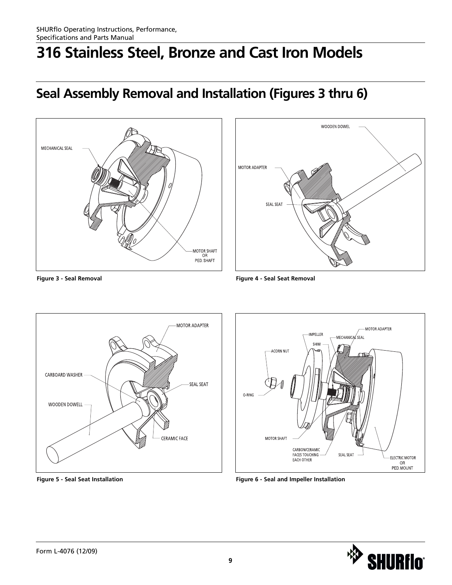## **316 Stainless Steel, Bronze and Cast Iron Models**

## **Seal Assembly Removal and Installation (Figures 3 thru 6)**













**Figure 5 - Seal Seat Installation Figure 6 - Seal and Impeller Installation**

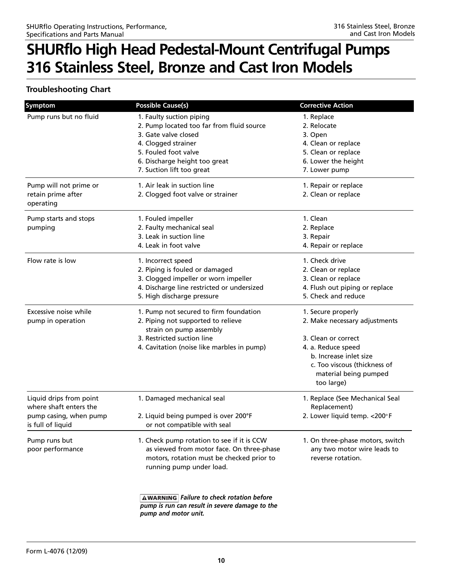### **Troubleshooting Chart**

| <b>Symptom</b>                              | <b>Possible Cause(s)</b>                                                                           | <b>Corrective Action</b>         |
|---------------------------------------------|----------------------------------------------------------------------------------------------------|----------------------------------|
| Pump runs but no fluid                      | 1. Faulty suction piping                                                                           | 1. Replace                       |
|                                             | 2. Pump located too far from fluid source                                                          | 2. Relocate                      |
|                                             | 3. Gate valve closed                                                                               | 3. Open                          |
|                                             | 4. Clogged strainer                                                                                | 4. Clean or replace              |
|                                             | 5. Fouled foot valve                                                                               | 5. Clean or replace              |
|                                             | 6. Discharge height too great                                                                      | 6. Lower the height              |
|                                             | 7. Suction lift too great                                                                          | 7. Lower pump                    |
| Pump will not prime or                      | 1. Air leak in suction line                                                                        | 1. Repair or replace             |
| retain prime after                          | 2. Clogged foot valve or strainer                                                                  | 2. Clean or replace              |
| operating                                   |                                                                                                    |                                  |
| Pump starts and stops                       | 1. Fouled impeller                                                                                 | 1. Clean                         |
| pumping                                     | 2. Faulty mechanical seal                                                                          | 2. Replace                       |
|                                             | 3. Leak in suction line                                                                            | 3. Repair                        |
|                                             | 4. Leak in foot valve                                                                              | 4. Repair or replace             |
| Flow rate is low                            | 1. Incorrect speed                                                                                 | 1. Check drive                   |
|                                             | 2. Piping is fouled or damaged                                                                     | 2. Clean or replace              |
|                                             | 3. Clogged impeller or worn impeller                                                               | 3. Clean or replace              |
|                                             | 4. Discharge line restricted or undersized                                                         | 4. Flush out piping or replace   |
|                                             | 5. High discharge pressure                                                                         | 5. Check and reduce              |
| Excessive noise while                       | 1. Pump not secured to firm foundation                                                             | 1. Secure properly               |
| pump in operation                           | 2. Piping not supported to relieve                                                                 | 2. Make necessary adjustments    |
|                                             | strain on pump assembly                                                                            |                                  |
|                                             | 3. Restricted suction line                                                                         | 3. Clean or correct              |
|                                             | 4. Cavitation (noise like marbles in pump)                                                         | 4. a. Reduce speed               |
|                                             |                                                                                                    | b. Increase inlet size           |
|                                             |                                                                                                    | c. Too viscous (thickness of     |
|                                             |                                                                                                    | material being pumped            |
|                                             |                                                                                                    | too large)                       |
| Liquid drips from point                     | 1. Damaged mechanical seal                                                                         | 1. Replace (See Mechanical Seal  |
| where shaft enters the                      |                                                                                                    | Replacement)                     |
| pump casing, when pump<br>is full of liquid | 2. Liquid being pumped is over 200°F<br>or not compatible with seal                                | 2. Lower liquid temp. < 200°F    |
|                                             |                                                                                                    |                                  |
| Pump runs but                               | 1. Check pump rotation to see if it is CCW                                                         | 1. On three-phase motors, switch |
| poor performance                            | as viewed from motor face. On three-phase                                                          | any two motor wire leads to      |
|                                             | motors, rotation must be checked prior to                                                          | reverse rotation.                |
|                                             | running pump under load.                                                                           |                                  |
|                                             |                                                                                                    |                                  |
|                                             | <b>AWARNING</b> Failure to check rotation before<br>pump is run can result in severe damage to the |                                  |
|                                             | pump and motor unit.                                                                               |                                  |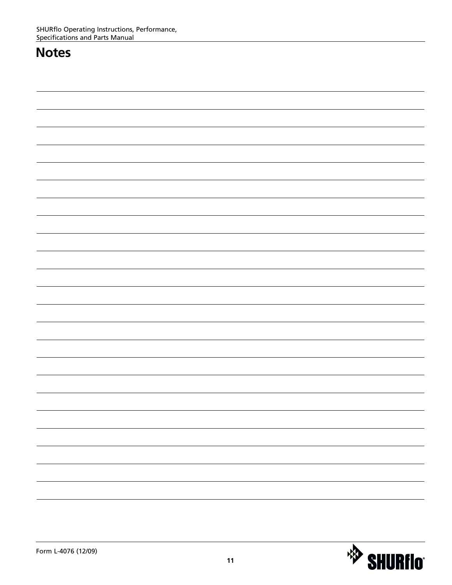### **Notes**